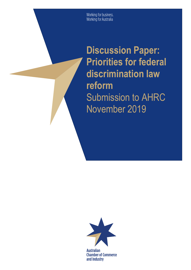Working for business.<br>Working for Australia

**Discussion Paper: Priorities for federal discrimination law reform** Submission to AHRC November 2019



**Australian Chamber of Commerce** and Industry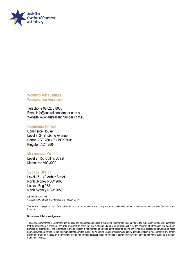

**WORKING FOR BUSINESS. WORKING FOR AUSTRALIA** 

Telephone 02 6270 8000 Email [info@australianchamber.com.au](mailto:info@australianchamber.com.au) Website [www.australianchamber.com.au](http://www.australianchamber.com.au/) 

#### **CANBERRA OFFICE**

Commerce House Level 3, 24 Brisbane Avenue Barton ACT 2600 PO BOX 6005 Kingston ACT 2604

#### **MELBOURNE OFFICE**

Level 2, 150 Collins Street Melbourne VIC 3000

#### **SYDNEY OFFICE**

Level 15, 140 Arthur Street North Sydney NSW 2060 Locked Bag 938 North Sydney NSW 2059

ABN 85 008 391 795 © Australian Chamber of Commerce and Industry 2019

This work is copyright. No part of this publication may be reproduced or used in any way without acknowledgement to the Australian Chamber of Commerce and Industry.

#### **Disclaimers & Acknowledgements**

The Australian Chamber of Commerce and Industry has taken reasonable care in publishing the information contained in this publication but does not guarantee that the information is complete, accurate or current. In particular, the Australian Chamber is not responsible for the accuracy of information that has been provided by other parties. The information in this publication is not intended to be used as the basis for making any investment decision and must not be relied upon as investment advice. To the maximum extent permitted by law, the Australian Chamber disclaims all liability (including liability in negligence) to any person arising out of use or reliance on the information contained in this publication including for loss or damage which you or anyone else might suffer as a result of that use or reliance.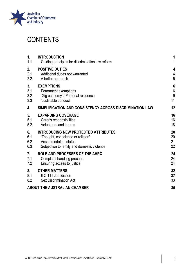

## **CONTENTS**

| $\mathbf{1}$ .<br>1.1 | <b>INTRODUCTION</b><br>Guiding principles for discrimination law reform | 1                |
|-----------------------|-------------------------------------------------------------------------|------------------|
| 2.                    | <b>POSITIVE DUTIES</b>                                                  | 4                |
| 2.1                   | Additional duties not warranted                                         | $\overline{4}$   |
| 2.2                   | A better approach                                                       | 5                |
| 3.                    | <b>EXEMPTIONS</b>                                                       | $\boldsymbol{6}$ |
| 3.1                   | Permanent exemptions                                                    | $6\phantom{a}$   |
| 3.2                   | 'Gig economy' / Personal residence                                      | 9                |
| 3.3                   | 'Justifiable conduct'                                                   | 11               |
| 4.                    | SIMPLIFICATION AND CONSISTENCY ACROSS DISCRIMINATION LAW                | 12               |
| 5.                    | <b>EXPANDING COVERAGE</b>                                               | 16               |
| 5.1                   | Carer's responsibilities                                                | 16               |
| 5.2                   | <b>Volunteers and interns</b>                                           | 18               |
| 6.                    | <b>INTRODUCING NEW PROTECTED ATTRIBUTES</b>                             | 20               |
| 6.1                   | 'Thought, conscience or religion'                                       | 20               |
| 6.2                   | <b>Accommodation status</b>                                             | 21               |
| 6.3                   | Subjection to family and domestic violence                              | 22               |
| 7.                    | ROLE AND PROCESSES OF THE AHRC                                          | 24               |
| 7.1                   | Complaint handling process                                              | 24               |
| 7.2                   | Ensuring access to justice                                              | 24               |
| 8.                    | <b>OTHER MATTERS</b>                                                    | 32               |
| 8.1                   | ILO 111 Jurisdiction                                                    | 32               |
| 8.2                   | <b>Sex Discrimination Act</b>                                           | 33               |
|                       | <b>ABOUT THE AUSTRALIAN CHAMBER</b>                                     | 35               |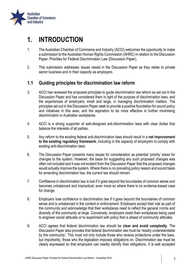

## <span id="page-3-0"></span>**1. INTRODUCTION**

- 1. The Australian Chamber of Commerce and Industry (ACCI) welcomes the opportunity to make a submission to the Australian Human Rights Commission (AHRC) in relation to the Discussion Paper: Priorities for Federal Discrimination Law (Discussion Paper).
- 2. This submission addresses issues raised in the Discussion Paper as they relate to private sector business and in their capacity as employers.

## <span id="page-3-1"></span>**1.1 Guiding principles for discrimination law reform**

- 3. ACCI has reviewed the proposed principles to guide discrimination law reform as set out in the Discussion Paper and has considered them in light of the purpose of discrimination laws, and the experiences of employers, small and large, in managing discrimination matters. The principles set out in the Discussion Paper seek to provide a positive foundation for sound policy and initiatives in this area, and the aspiration to be more effective in further minimising discrimination in Australian workplaces.
- 4. ACCI is a strong supporter of well-designed anti-discrimination laws with clear duties that balance the interests of all parties.
- 5. Any reform to the existing federal anti-discrimination laws should result in a **net improvement to the existing regulatory framework**, including in the capacity of employers to comply with existing anti-discrimination laws.
- 6. The Discussion Paper presents many issues for consideration as potential 'priority' areas for changes to the system. However, the basis for suggesting any such proposed changes was often not included and it was not evident from the Discussion Paper that the proposed changes would actually improve the system. Where there is no prevailing policy reason and sound basis for amending discrimination law, the current law should remain.
- 7. Confidence in discrimination law is lost if it goes beyond the boundaries of common sense and becomes unbalanced and impractical, even more so where there is no evidence-based case for change.
- 8. Employers lose confidence in discrimination law if it goes beyond the boundaries of common sense and is unbalanced in the content or enforcement. Employers accept their role as part of the community and acknowledge that their workplaces need to reflect the general norms and diversity of the community at large. Conversely, employers resist their workplaces being used to engineer social attitudes or to experiment with policy that is ahead of community attitudes.
- 9. ACCI agrees that federal discrimination law should be **clear and avoid complexity**. The Discussion Paper also provides that federal discrimination law must be 'readily understandable by the community'. This must not only include those who receive protections under the laws, but importantly, those who the legislation imposes obligations on. Discrimination law must be clearly expressed so that employers can readily identify their obligations. It is well accepted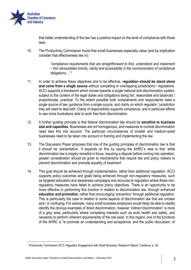

that better understanding of the law has a positive impact on the level of compliance with those laws.

10. The Productivity Commission found that small businesses especially value (and by implication consider that effectiveness lies in):

> *"compliance requirements that are straightforward to find, understand and implement – this necessitates brevity, clarity and accessibility in the communication of compliance obligations…"<sup>1</sup>*

- 11. In order to achieve these objectives and to be effective, **regulation should be stand alone and come from a single source** without competing or overlapping jurisdictions / regulations. ACCI supports a framework which moves towards a single national anti-discrimination system, subject to the content of the legal duties and obligations being fair, reasonable and balanced / proportionate, practical. To the extent possible both complainants and respondents need a single source of law, guidance from a single source, and clarity on which regulator / jurisdiction they will need to deal with. Clarity of responsibility supports compliance, and in particular efforts to see more Australians able to work free from discrimination.
- 12. A further guiding principle is that federal discrimination law should be **sensitive to business size and capacities**. Businesses are not homogenous, and measures to combat discrimination need take this into account. The particular circumstances of smaller and medium-sized businesses need to be taken into account in framing and implementing the law.
- 13. The Discussion Paper proposes that one of the guiding principles of discrimination law is that it should be 'preventative'. It expands on this by saying the AHRC's view is that 'while discrimination law is largely remedial in focus, requiring a dispute before coming into operation, greater consideration should be given to mechanisms that require law and policy makers to prevent discrimination and promote equality of treatment'.
- 14. This goal should be achieved through implementation, rather than additional regulation. ACCI supports policy outcomes and goals being achieved through non-regulatory measures, such as targeted education and awareness campaigns and recourse to regulation where these nonregulatory measures have failed to achieve policy objectives. There is an opportunity to be more effective in performing this function in relation to discrimination law, through enhanced **education and promotion**, rather than encouraging 'prevention' through additional regulation. This is particularly the case in relation to some aspects of discrimination law that are unclear and / or confusing. For example, many small business employers would likely be able to readily identify the obvious examples of direct discrimination, however 'indirect discrimination' is more of a grey area, particularly where competing interests such as work health and safety, and necessity to perform inherent requirements of the role exist. In this regard, one of the functions of the AHRC is "to promote an understanding and acceptance, and the public discussion, of

<sup>1</sup> Productivity Commission 2013, Regulator Engagement with Small Business, Research Report, Canberra, p. 38.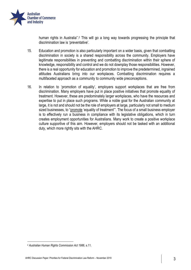

human rights in Australia".<sup>2</sup> This will go a long way towards progressing the principle that discrimination law is 'preventative'.

- 15. Education and promotion is also particularly important on a wider basis, given that combatting discrimination in society is a shared responsibility across the community. Employers have legitimate responsibilities in preventing and combatting discrimination within their sphere of knowledge, responsibility and control and we do not downplay those responsibilities. However, there is a real opportunity for education and promotion to improve the predetermined, ingrained attitudes Australians bring into our workplaces. Combatting discrimination requires a multifaceted approach as a community to community wide preconceptions.
- 16. In relation to 'promotion of equality', employers support workplaces that are free from discrimination. Many employers have put in place positive initiatives that promote equality of treatment. However, these are predominately larger workplaces, who have the resources and expertise to put in place such programs. While a noble goal for the Australian community at large, it is not and should not be the role of employers at large, particularly not small to medium sized businesses, to "promote 'equality of treatment". The focus of a small business employer is to effectively run a business in compliance with its legislative obligations, which in turn creates employment opportunities for Australians. Many work to create a positive workplace culture supportive of this aim. However, employers should not be tasked with an additional duty, which more rightly sits with the AHRC.

<sup>2</sup> *Australian Human Rights Commission Act 1986*, s.11.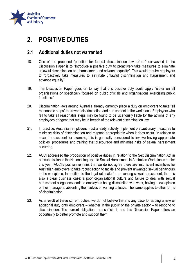

## <span id="page-6-0"></span>**2. POSITIVE DUTIES**

## <span id="page-6-1"></span>**2.1 Additional duties not warranted**

- 18. One of the proposed "priorities for federal discrimination law reform" canvassed in the Discussion Paper is to "Introduce a positive duty to proactively take measures to eliminate unlawful discrimination and harassment and advance equality". This would require employers to "proactively take measures to eliminate unlawful discrimination and harassment and advance equality".
- 19. The Discussion Paper goes on to say that this positive duty could apply "either on all organisations or specifically focused on public officials and organisations exercising public functions."
- 20. Discrimination laws around Australia already currently place a duty on employers to take "all reasonable steps" to prevent discrimination and harassment in the workplace. Employers who fail to take all reasonable steps may be found to be vicariously liable for the actions of any employees or agent that may be in breach of the relevant discrimination law.
- 21. In practice, Australian employers must already actively implement precautionary measures to minimise risks of discrimination and respond appropriately when it does occur. In relation to sexual harassment for example, this is generally considered to involve having appropriate policies, procedures and training that discourage and minimise risks of sexual harassment occurring.
- 22. ACCI addressed the proposition of positive duties in relation to the Sex Discrimination Act in our submission to the National Inquiry into Sexual Harassment in Australian Workplaces earlier this year. ACCI's position remains that we do not agree there are insufficient incentives for Australian employers to take robust action to tackle and prevent unwanted sexual behaviours in the workplace. In addition to the legal rationale for preventing sexual harassment, there is also a clear business case: a poor organisational culture and failure to deal with sexual harassment allegations leads to employees being dissatisfied with work, having a low opinion of their managers, absenting themselves or wanting to leave. The same applies to other forms of discrimination.
- 23. As a result of these current duties, we do not believe there is any case for adding a new or additional duty onto employers – whether in the public or the private sector – to respond to discrimination. The current obligations are sufficient, and this Discussion Paper offers an opportunity to better promote and support them.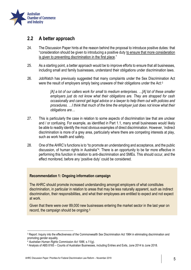

## <span id="page-7-0"></span>**2.2 A better approach**

- 24. The Discussion Paper hints at the reason behind the proposal to introduce positive duties: that "consideration should be given to introducing a positive duty to ensure that more consideration is given to preventing discrimination in the first place."
- 25. As a starting point, a better approach would be to improve efforts to ensure that all businesses, including small and family businesses, understand their obligations under discrimination laws.
- 26. JobWatch has previously suggested that many complaints under the Sex Discrimination Act were the result of employers simply being unaware of their obligations under the Act:<sup>3</sup>

*[A] a lot of our callers work for small to medium enterprises. …[A] lot of these smaller employers just do not know what their obligations are. They are strapped for cash occasionally and cannot get legal advice or a lawyer to help them out with policies and procedures. …I think that much of the time the employer just does not know what their obligations are…*

- 27. This is particularly the case in relation to some aspects of discrimination law that are unclear and / or confusing. For example, as identified in Part 1.1, many small businesses would likely be able to readily identify the most obvious examples of direct discrimination. However, 'indirect discrimination is more of a grey area, particularly where there are competing interests at play, such as work health and safety.
- 28. One of the AHRC's functions is to "to promote an understanding and acceptance, and the public discussion, of human rights in Australia"<sup>4</sup> . There is an opportunity to be far more effective in performing this function in relation to anti-discrimination and SMEs. This should occur, and the effect monitored, before any 'positive duty' could be considered.

#### **Recommendation 1: Ongoing information campaign**

The AHRC should promote increased understanding amongst employers of what constitutes discrimination, in particular in relation to areas that may be less naturally apparent, such as indirect discrimination, their responsibilities, and what their employees are entitled to expect and not expect at work.

Given that there were over 89,000 new businesses entering the market sector in the last year on record, the campaign should be ongoing.5

<sup>3</sup> Report: Inquiry into the effectiveness of the Commonwealth Sex Discrimination Act 1984 in eliminating discrimination and promoting gender equality.

<sup>4</sup> *Australian Human Rights Commission Act 1986*, s.11(g).

<sup>5</sup> Analysis of ABS 8165 – Counts of Australian Businesses, including Entries and Exits, June 2014 to June 2018.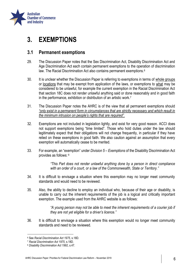

## <span id="page-8-0"></span>**3. EXEMPTIONS**

## <span id="page-8-1"></span>**3.1 Permanent exemptions**

- 29. The Discussion Paper notes that the Sex Discrimination Act, Disability Discrimination Act and Age Discrimination Act each contain permanent exemptions to the operation of discrimination law. The Racial Discrimination Act also contains permanent exemptions.<sup>6</sup>
- 30. It is unclear whether the Discussion Paper is referring to exemptions in terms of whole groups or locations that may be exempt from application of the laws, or exemptions to what may be considered to be unlawful, for example the current exemption in the Racial Discrimination Act that section 18C does not render unlawful anything said or done reasonably and in good faith in the performance, exhibition or distribution of an artistic work.<sup>7</sup>
- 31. The Discussion Paper notes the AHRC is of the view that all permanent exemptions should *"only exist in a permanent form in circumstances that are strictly necessary and which result in the minimum intrusion on people's rights that are required".*
- 32. Exemptions are not included in legislation lightly, and exist for very good reason. ACCI does not support exemptions being "time limited". Those who hold duties under the law should legitimately expect that their obligations will not change frequently, in particular if they have relied on these exemptions in good faith. We also caution against an assumption that every exemption will automatically cease to be merited.
- 33. For example, an "exemption" under *Division 5 – Exemptions* of the Disability Discrimination Act provides as follows: <sup>8</sup>

*"This Part does not render unlawful anything done by a person in direct compliance with an order of a court, or a law of the Commonwealth, State or Territory."*

- 34. It is difficult to envisage a situation where this exemption may no longer meet community standards and would need to be reviewed.
- 35. Also, the ability to decline to employ an individual who, because of their age or disability, is unable to carry out the inherent requirements of the job is a logical and critically important exemption. The example used from the AHRC website is as follows:

*"A young person may not be able to meet the inherent requirements of a courier job if they are not yet eligible for a driver's licence."*

36. It is difficult to envisage a situation where this exemption would no longer meet community standards and need to be reviewed.

 $\overline{\phantom{a}}$ 

<sup>6</sup> See *Racial Discrimination Act 1975*, s.18D.

<sup>7</sup> *Racial Discrimination Act 1975*, s.18D.

<sup>8</sup> *Disability Discrimination Act 1992*, s.47.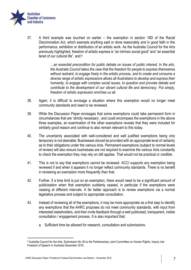

37. A third example was touched on earlier – the exemption in section 18D of the Racial Discrimination Act, which exempts anything said or done reasonably and in good faith in the performance, exhibition or distribution of an artistic work. As the Australia Council for the Arts previously highlighted, freedom of artistic express is "an intrinsic social good" and "an essential tenet of our cultural life", and:<sup>9</sup>

> *…an essential precondition for public debate on issues of public interest. In the arts, the Australia Council takes the view that the freedom for people to express themselves without restraint, to engage freely in the artistic process, and to create and consume a diverse range of artistic expressions allows all Australians to develop and express their humanity, to engage with complex social issues, to question and provoke debate and contribute to the development of our vibrant cultural life and democracy. Put simply, freedom of artistic expression enriches us all.*

- 38. Again, it is difficult to envisage a situation where this exemption would no longer meet community standards and need to be reviewed.
- 39. While the Discussion Paper envisages that some exemptions could take permanent form in circumstances that are 'strictly necessary', and could encompass the exemptions in the above three examples, an examination of the other exemptions reveals that they were included for similarly good reason and continue to also remain relevant to this today.
- 40. The uncertainty associated with well-considered and well justified exemptions being only temporary is not desirable. Businesses should be provided with an appropriate level of certainty as to their obligations under the various Acts. Permanent exemptions (subject to normal levels of review) will also ensure businesses are not required to examine the various Acts constantly to check the exemption they may rely on still applies. That would not be practical or credible.
- 41. This is not to say that exemptions cannot be reviewed. ACCI supports any exemption being reviewed if and when it appears it no longer reflect community standards. There is no benefit in reviewing an exemption more frequently than that.
- 42. Further, if a time limit is put on an exemption, there would need to be a significant amount of publicisation when that exemption suddenly ceased, in particular if the exemptions were ceasing at different intervals. A far better approach is to review exemptions via a normal legislative process and subject to appropriate consultation.
- 43. Instead of reviewing all of the exemptions, it may be more appropriate as a first step to identify any exemptions that the AHRC proposes do not meet community standards, with input from interested stakeholders, and then invite feedback through a well publicised, transparent, visible consultation / engagement process. It is also important that:
	- a. Sufficient time be allowed for research, consultation and submissions.

<sup>1</sup> <sup>9</sup> Australia Council for the Arts, Submission No 30 to the Parliamentary Joint Committee on Human Rights, Inquiry into Freedom of Speech in Australia December 2016.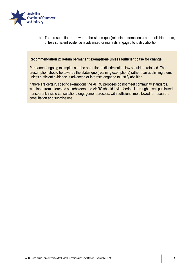

b. The presumption be towards the status quo (retaining exemptions) not abolishing them, unless sufficient evidence is advanced or interests engaged to justify abolition.

#### **Recommendation 2: Retain permanent exemptions unless sufficient case for change**

Permanent/ongoing exemptions to the operation of discrimination law should be retained. The presumption should be towards the status quo (retaining exemptions) rather than abolishing them, unless sufficient evidence is advanced or interests engaged to justify abolition.

If there are certain, specific exemptions the AHRC proposes do not meet community standards, with input from interested stakeholders, the AHRC should invite feedback through a well publicised, transparent, visible consultation / engagement process, with sufficient time allowed for research, consultation and submissions.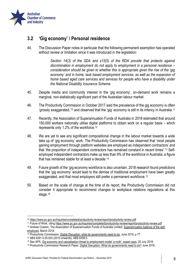

## <span id="page-11-0"></span>**3.2 'Gig economy' / Personal residence**

44. The Discussion Paper notes in particular that the following permanent exemption has operated without review or limitation since it was introduced in the legislation:

> *Section 14(3) of the SDA and s15(5) of the RDA provide that protects against discrimination in employment do not apply to employment in a personal residence – consideration should be given to whether this is appropriate given the rise of the 'gig economy' and in home, task based employment services, as well as the expansion of home based aged care services and services for people who have a disability under the National Disability Insurance Scheme.*

- 45. Despite media and community interest in the 'gig economy', on-demand work remains a marginal, non-statistically significant part of the Australian labour market.
- 46. The Productivity Commission in October 2017 said the prevalence of the gig economy is often 'grossly exaggerated,' <sup>10</sup> and observed that the 'gig' economy is still in its infancy in Australia. 11
- 47. Recently, the Association of Superannuation Funds of Australia in 2018 estimated that around 150,000 workers nationally utilise digital platforms to obtain work on a regular basis – which represents only 1.2% of the workforce.<sup>12</sup>
- 48. We are yet to see any significant compositional change in the labour market towards a wide take up of 'gig economy' work. The Productivity Commission has observed that 'most people gaining employment through platform websites are employed as independent contractors' and that 'the proportion of independent contractors has remained constant in recent times'.<sup>13</sup> Selfemployed independent contractors make up less than 9% of the workforce in Australia, a figure that has remained stable for at least a decade.<sup>14</sup>
- 49. Future growth of the 'gig economy workforce is also uncertain. 2018 research found predictions that the 'gig economy' would lead to the demise of traditional employment have been greatly exaggerated, and that most employers still prefer a permanent workforce. 15
- 50. Based on the scale of change at the time of its report, the Productivity Commission did not consider it appropriate to recommend changes to workplace relations regulations at this stage.<sup>16</sup>

 $\overline{\phantom{a}}$ 

<sup>10</sup> <https://www.pc.gov.au/inquiries/completed/productivity-review/report/productivity-review.pdf>

<sup>11</sup> Future of Work, citin[g https://www.pc.gov.au/inquiries/completed/productivity-review/report/productivity-review.pdf](https://www.pc.gov.au/inquiries/completed/productivity-review/report/productivity-review.pdf)

<sup>12</sup> Andrew Craston, The Association of Superannuation Funds of Australia Limited, [Superannuation balance of the self](https://www.superannuation.asn.au/ArticleDocuments/359/1803-Superannuation_balances_of_the_self-employed.pdf.aspx?Embed=Y)[employed,](https://www.superannuation.asn.au/ArticleDocuments/359/1803-Superannuation_balances_of_the_self-employed.pdf.aspx?Embed=Y) March 2018.

<sup>&</sup>lt;sup>13</sup> Productivity Commission[, Digital Disruption: what do governments need to do,](https://www.pc.gov.au/research/completed/digital-disruption/digital-disruption-research-paper.pdf) June 2016, p 77.

<sup>14</sup> ABS 6291.0.55.003 (2015 onwards), ABS 6359.0.

<sup>15</sup> See AFR, [Gig economy and casualisation threat to employment model 'a myth', expert says](https://www.afr.com/news/policy/industrial-relations/gig-economy-and-casualisation-threat-to-employment-model-a-myth-expert-says-20180725-h134lk), 25 July 2018.

<sup>16</sup> Productivity Commission Research Paper, [Digital Disruption: What do governments need to do?](https://www.pc.gov.au/research/completed/digital-disruption/digital-disruption-research-paper.pdf) June 2016.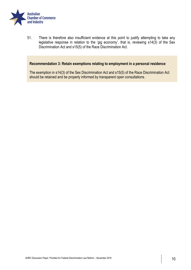

51. There is therefore also insufficient evidence at this point to justify attempting to take any legislative response in relation to the 'gig economy', that is, reviewing s14(3) of the Sex Discrimination Act and s15(5) of the Race Discrimination Act.

#### **Recommendation 3: Retain exemptions relating to employment in a personal residence**

The exemption in s14(3) of the Sex Discrimination Act and s15(5) of the Race Discrimination Act should be retained and be properly informed by transparent open consultations.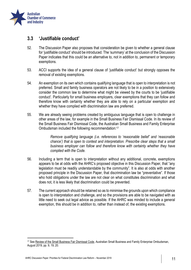

## <span id="page-13-0"></span>**3.3 'Justifiable conduct'**

- 52. The Discussion Paper also proposes that consideration be given to whether a general clause for 'justifiable conduct' should be introduced. The 'summary' at the conclusion of the Discussion Paper indicates that this could be an alternative to, not in addition to, permanent or temporary exemptions.
- 53. ACCI supports the idea of a general clause of 'justifiable conduct' but strongly opposes the removal of existing exemptions.
- 54. An exemption on its own which contains qualifying language that is open to interpretation is not preferred. Small and family business operators are not likely to be in a position to extensively consider the common law to determine what might be viewed by the courts to be 'justifiable conduct'. Particularly for small business employers, clear exemptions that they can follow and therefore know with certainty whether they are able to rely on a particular exemption and whether they have complied with discrimination law are preferred.
- 55. We are already seeing problems created by ambiguous language that is open to challenge in other areas of the law, for example in the Small Business Fair Dismissal Code. In its review of the Small Business Fair Dismissal Code, the Australian Small Business and Family Enterprise Ombudsman included the following recommendation:<sup>17</sup>

*Remove qualifying language (i.e. references to 'reasonable belief' and 'reasonable chance') that is open to contest and interpretation. Prescribe clear steps that a small business employer can follow and therefore know with certainty whether they have complied with the Code.*

- 56. Including a term that is open to interpretation without any additional, concrete, exemptions appears to be at odds with the AHRC's proposed objective in this Discussion Paper, that "any legislation must be readily understandable by the community". It is also at odds with another proposed principle in the Discussion Paper, that discrimination law be "preventative". If those who hold obligations under the law are not clear on what constitutes discrimination and what does not, it is less likely that discrimination could be prevented.
- 57. The current approach should be retained so as to minimise the grounds upon which compliance is open to interpretation and challenge, and so the provisions are able to be navigated with as little need to seek out legal advice as possible. If the AHRC was minded to include a general exemption, this should be in addition to, rather than instead of, the existing exemptions.

<sup>17</sup> See [Review of the Small Business Fair Dismissal Code,](https://www.asbfeo.gov.au/sites/default/files/documents/ASBFEO%20FINAL%20AUGUST%202019.pdf) Australian Small Business and Family Enterprise Ombudsman, August 2019, pp. 9, 19, 20.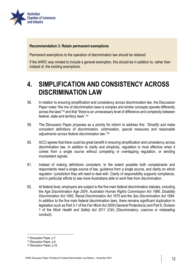

#### **Recommendation 3: Retain permanent exemptions**

Permanent exemptions to the operation of discrimination law should be retained.

If the AHRC was minded to include a general exemption, this should be in addition to, rather than instead of, the existing exemptions.

## <span id="page-14-0"></span>**4. SIMPLIFICATION AND CONSISTENCY ACROSS DISCRIMINATION LAW**

- 58. In relation to ensuring simplification and consistency across discrimination law, the Discussion Paper notes "the mix of discrimination laws is complex and similar concepts operate differently across the laws"<sup>18</sup> and that "there is an unnecessary level of difference and complexity between federal, state and territory laws".<sup>19</sup>
- 59. The Discussion Paper proposes as a priority for reform to address this: *"Simplify and make consistent definitions of discrimination, victimisation, special measures and reasonable adjustments across federal discrimination law."<sup>20</sup>*
- 60. ACCI agrees that there could be great benefit in ensuring simplification and consistency across discrimination law. In addition to clarity and simplicity, regulation is most effective when it comes from a single source without competing or overlapping regulation, or sending inconsistent signals.
- 61. Instead of making definitions consistent, to the extent possible both complainants and respondents need a single source of law, guidance from a single source, and clarity on which regulator / jurisdiction they will need to deal with. Clarity of responsibility supports compliance, and in particular efforts to see more Australians able to work free from discrimination.
- 62. At federal level, employers are subject to the five main federal discrimination statutes, including the *Age Discrimination Age 2004*, *Australian Human Rights Commission Act 1986*, *Disability Discrimination Act 1992*, *Racial Discrimination Act 1975* and the *Sex Discrimination Act 1984*. In addition to the five main federal discrimination laws, there remains significant duplication in legislation such as Part 3-1 of the *Fair Work Act 2009* (General Protections) and Part 6, Division 1 of the *Work Health and Safety Act 2011* (Cth) (Discriminatory, coercive or misleading conduct).

 $\overline{\phantom{a}}$ 

<sup>18</sup> Discussion Paper, p.7.

<sup>19</sup> Discussion Paper, p.8.

<sup>20</sup> Discussion Paper, p.18.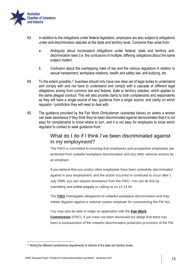

- 63. In addition to the obligations under federal legislation, employers are also subject to obligations under anti-discrimination statutes at the state and territory level. Concerns then arise from:
	- a. Ambiguity about inconsistent obligations under federal, state and territory antidiscrimination laws (i.e. the confusions of multiple, differing obligations about the same subject matter).
	- b. Confusion about the overlapping roles of law and the various regulators in relation to sexual harassment, workplace relations, health and safety law, anti-bullying, etc.
- 64. To the extent possible, <sup>21</sup> business should only have one clear set of legal duties to understand and comply with and not have to understand and comply with a cascade of different legal obligations arising from common law and federal, state or territory statutes, which applies to the same alleged conduct. This will also provide clarity to both complainants and respondents as they will have a single source of law, guidance from a single source, and clarity on which regulator / jurisdiction they will need to deal with.
- 65. The guidance provided by the Fair Work Ombudsman (extracted below) on where a worker can seek assistance if they think they've been discriminated against demonstrates that it is not easy for complainants to know where to turn, and it is not easy for employers to know which regulator to contact to seek guidance from:

## What do I do if I think I've been discriminated against in my employment?

The FWO is committed to ensuring that employees and prospective employees are protected from unlawful workplace discrimination and any other adverse actions by an employer.

If you believe that you and/or other employees have been unlawfully discriminated against in your employment, and the action occurred or continued to occur after 1 July 2009, you can request assistance from the FWO. You can do this by submitting and online enquiry or calling us on 13 13 94.

The **FWO** investigates allegations of unlawful workplace discrimination and may initiate litigation against a national system employer for contravening the FW Act.

You may also be able to lodge an application with the **Fair Work Commission** (FWC). If you have not been dismissed but allege that there has been a contravention of the unlawful discrimination protection provisions of the FW

<sup>&</sup>lt;sup>21</sup> Noting the different constitutional requirements to reforms at the state and territory levels.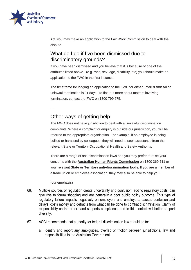

Act, you may make an application to the Fair Work Commission to deal with the dispute.

## What do I do if I've been dismissed due to discriminatory grounds?

If you have been dismissed and you believe that it is because of one of the attributes listed above - (e.g. race, sex, age, disability, etc) you should make an application to the FWC in the first instance.

The timeframe for lodging an application to the FWC for either unfair dismissal or unlawful termination is 21 days. To find out more about matters involving termination, contact the FWC on 1300 799 675.

…

## Other ways of getting help

The FWO does not have jurisdiction to deal with all unlawful discrimination complaints. Where a complaint or enquiry is outside our jurisdiction, you will be referred to the appropriate organisation. For example, if an employee is being bullied or harassed by colleagues, they will need to seek assistance from the relevant State or Territory Occupational Health and Safety Authority.

There are a range of anti-discrimination laws and you may prefer to raise your concerns with the **[Australian Human Rights Commission](https://www.humanrights.gov.au/)** on 1300 369 711 or your relevant **[State or Territory anti-discrimination body](https://www.fairwork.gov.au/website-information/related-sites)**. If you are a member of a trade union or employee association, they may also be able to help you.

(our emphasis)

- 66. Multiple sources of regulation create uncertainty and confusion, add to regulatory costs, can give rise to forum shopping and are generally a poor public policy outcome. This type of regulatory failure impacts negatively on employers and employers, causes confusion and delays, costs money and detracts from what can be done to combat discrimination. Clarity of responsibility on the other hand supports compliance, and in this context will better support diversity.
- 67. ACCI recommends that a priority for federal discrimination law should be to:
	- a. Identify and report any ambiguities, overlap or friction between jurisdictions, law and responsibilities to the Australian Government.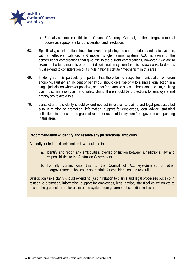

- b. Formally communicate this to the Council of Attorneys-General, or other intergovernmental bodies as appropriate for consideration and resolution.
- 68. Specifically, consideration should be given to replacing the current federal and state systems, with an effective, balanced and modern single national system. ACCI is aware of the constitutional complications that give rise to the current complications, however if we are to examine the fundamentals of our anti-discrimination system (as this review seeks to do) this must extend to consideration of a single national statute / mechanism in this area.
- 69. In doing so, it is particularly important that there be no scope for manipulation or forum shopping. Further, an incident or behaviour should give rise only to a single legal action in a single jurisdiction wherever possible, and not for example a sexual harassment claim, bullying claim, discrimination claim and safety claim. There should be protections for employers and employees to avoid this.
- 70. Jurisdiction / role clarity should extend not just in relation to claims and legal processes but also in relation to promotion, information, support for employees, legal advice, statistical collection etc to ensure the greatest return for users of the system from government spending in this area.

#### **Recommendation 4: Identify and resolve any jurisdictional ambiguity**

A priority for federal discrimination law should be to:

- a. Identify and report any ambiguities, overlap or friction between jurisdictions, law and responsibilities to the Australian Government.
- b. Formally communicate this to the Council of Attorneys-General, or other intergovernmental bodies as appropriate for consideration and resolution.

Jurisdiction / role clarity should extend not just in relation to claims and legal processes but also in relation to promotion, information, support for employees, legal advice, statistical collection etc to ensure the greatest return for users of the system from government spending in this area.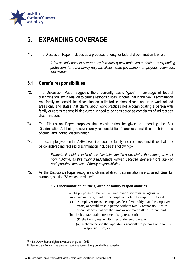

## <span id="page-18-0"></span>**5. EXPANDING COVERAGE**

71. The Discussion Paper includes as a proposed priority for federal discrimination law reform:

*Address limitations in coverage by introducing new protected attributes by expanding protections for carer/family responsibilities, state government employees, volunteers and interns.*

## <span id="page-18-1"></span>**5.1 Carer's responsibilities**

- 72. The Discussion Paper suggests there currently exists "gaps" in coverage of federal discrimination law in relation to carer's responsibilities. It notes that in the Sex Discrimination Act, family responsibilities discrimination is limited to direct discrimination in work related areas only and states that claims about work practices not accommodating a person with family or carer's responsibilities currently need to be considered as complaints of indirect sex discrimination.
- 73. The Discussion Paper proposes that consideration be given to amending the Sex Discrimination Act being to cover family responsibilities / carer responsibilities both in terms of direct and indirect discrimination.
- 74. The example given on the AHRC website about the family or carer's responsibilities that may be considered indirect sex discrimination includes the following:<sup>22</sup>

*Example: It could be indirect sex discrimination if a policy states that managers must work full-time, as this might disadvantage women because they are more likely to work part-time because of family responsibilities.* 

75. As the Discussion Paper recognises, claims of direct discrimination are covered. See, for example, section 7A which provides: 23

#### **7A Discrimination on the ground of family responsibilities**

 For the purposes of this Act, an employer discriminates against an employee on the ground of the employee's family responsibilities if:

- (a) the employer treats the employee less favourably than the employer treats, or would treat, a person without family responsibilities in circumstances that are the same or not materially different; and
- (b) the less favourable treatment is by reason of:
	- (i) the family responsibilities of the employee; or
	- (ii) a characteristic that appertains generally to persons with family responsibilities; or

<sup>22</sup> <https://www.humanrights.gov.au/quick-guide/12049>

<sup>&</sup>lt;sup>23</sup> See also s.7AA which relates to discrimination on the ground of breastfeeding.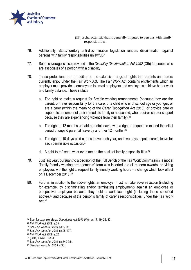

- (iii) a characteristic that is generally imputed to persons with family responsibilities.
- 76. Additionally, State/Territory anti-discrimination legislation renders discrimination against persons with family responsibilities unlawful.<sup>24</sup>
- 77. Some coverage is also provided in the *Disability Discrimination Act 1992* (Cth) for people who are associates of a person with a disability.
- 78. Those protections are in addition to the extensive range of rights that parents and carers currently enjoy under the Fair Work Act. The Fair Work Act contains entitlements which an employer must provide to employees to assist employers and employees achieve better work and family balance. These include:
	- a. The right to make a request for flexible working arrangements (because they are the parent, or have responsibility for the care, of a child who is of school age or younger, or are a carer (within the meaning of the *Carer Recognition Act 2010*), or provide care or support to a member of their immediate family or household, who requires care or support because they are experiencing violence from their family).<sup>25</sup>
	- b. The right to 12 months unpaid parental leave, with a right to request to extend the initial period of unpaid parental leave by a further 12 months.<sup>26</sup>
	- c. The right to 10 days paid carer's leave each year, and two days unpaid carer's leave for each permissible occasion.<sup>27</sup>
	- d. A right to refuse to work overtime on the basis of family responsibilities.<sup>28</sup>
- 79. Just last year, pursuant to a decision of the Full Bench of the Fair Work Commission, a model "family friendly working arrangements" term was inserted into all modern awards, providing employees with the right to request family friendly working hours – a change which took effect on 1 December 2018.<sup>29</sup>
- 80. Further, in addition to the above rights, an employer must not take adverse action (including for example, by discriminating and/or terminating employment) against an employee or prospective employee because they hold a workplace right (including those specified above),<sup>30</sup> and because of the person's family of carer's responsibilities, under the Fair Work Act.<sup>31</sup>

 $\overline{\phantom{a}}$ 

<sup>24</sup> See, for example, *Equal Opportunity Act 2010* (Vic), ss.17, 19, 22, 32.

<sup>25</sup> *Fair Work Act 2009*, s.65.

<sup>26</sup> See *Fair Work Act 2009*, ss.67-85.

<sup>27</sup> See *Fair Work Act 2009*, ss.95-107.

<sup>28</sup> *Fair Work Act 2009*, s.62.

<sup>29</sup> [2018] FWCFB 6863.

<sup>30</sup> See *Fair Work Act 2009*, ss.340-351.

<sup>31</sup> See *Fair Work Act 2009*, s.351.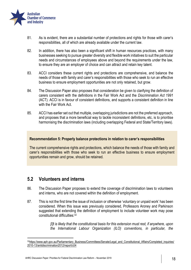

- 81. As is evident, there are a substantial number of protections and rights for those with carer's responsibilities, all of which are already available under the current law.
- 82. In addition, there has also been a significant shift in human resources practices, with many businesses seeking to pursue greater diversity and flexible work initiatives to suit the particular needs and circumstances of employees above and beyond the requirements under the law, to ensure they are an employer of choice and can attract and retain key talent.
- 83. ACCI considers these current rights and protections are comprehensive, and balance the needs of those with family and carer's responsibilities with those who seek to run an effective business to ensure employment opportunities are not only retained, but grow.
- 84. The Discussion Paper also proposes that consideration be given to clarifying the definition of carers consistent with the definitions in the Fair Work Act and the *Discrimination Act 1991* (ACT). ACCI is in favour of consistent definitions, and supports a consistent definition in line with the Fair Work Act.
- 85. ACCI has earlier set out that multiple, overlapping jurisdictions are not the preferred approach, and proposes that a more beneficial way to tackle inconsistent definitions, etc, is to prioritise harmonising the discrimination laws (including overlapping Federal and State/Territory laws).

#### **Recommendation 5: Properly balance protections in relation to carer's responsibilities**

The current comprehensive rights and protections, which balance the needs of those with family and carer's responsibilities with those who seek to run an effective business to ensure employment opportunities remain and grow, should be retained.

### <span id="page-20-0"></span>**5.2 Volunteers and interns**

1

- 86. The Discussion Paper proposes to extend the coverage of discrimination laws to volunteers and interns, who are not covered within the definition of employment.
- 87. This is not the first time the issue of inclusion or otherwise 'voluntary or unpaid work' has been considered. When this issue was previously considered, Professors Aroney and Parkinson suggested that extending the definition of employment to include volunteer work may pose constitutional difficulties:<sup>32</sup>

*[I]t is likely that the constitutional basis for this extension must rest, if anywhere, upon the International Labour Organization (ILO) conventions, in particular, the* 

<sup>32</sup>[https://www.aph.gov.au/Parliamentary\\_Business/Committees/Senate/Legal\\_and\\_Constitutional\\_Affairs/Completed\\_inquiries/](https://www.aph.gov.au/Parliamentary_Business/Committees/Senate/Legal_and_Constitutional_Affairs/Completed_inquiries/2010-13/antidiscrimination2012/report/c04) [2010-13/antidiscrimination2012/report/c04](https://www.aph.gov.au/Parliamentary_Business/Committees/Senate/Legal_and_Constitutional_Affairs/Completed_inquiries/2010-13/antidiscrimination2012/report/c04)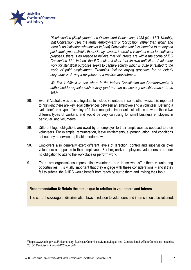

*Discrimination (Employment and Occupation) Convention, 1958 (No. 111). Notably, that Convention uses the terms 'employment' or 'occupation' rather than 'work', and there is no indication whatsoever in [that] Convention that it is intended to go beyond paid employment...While the ILO may have an interest in volunteer work for statistical purposes, there is no reason to believe that volunteers are within the scope of ILO Convention 111. Indeed, the ILO makes it clear that its own definition of volunteer work for statistical purposes seeks to capture activity which is quite unrelated to the world of paid employment. Examples...include buying groceries for an elderly neighbour or driving a neighbour to a medical appointment.*

*We find it difficult to see where in the federal Constitution the Commonwealth is authorised to regulate such activity (and nor can we see any sensible reason to do so).<sup>33</sup>*

- 88. Even if Australia was able to legislate to include volunteers in some other ways, it is important to highlight there are key legal differences between an employee and a volunteer. Defining a 'volunteer' as a type of 'employee' fails to recognise important distinctions between these two different types of workers, and would be very confusing for small business employers in particular, and volunteers.
- 89. Different legal obligations are owed by an employer to their employees as opposed to their volunteers. For example, remuneration, leave entitlements, superannuation, and conditions set out any otherwise applicable modern award.
- 90. Employers also generally exert different levels of direction, control and supervision over volunteers as opposed to their employees. Further, unlike employees, volunteers are under no obligation to attend the workplace or perform work.
- 91. There are organisations representing volunteers, and those who offer them volunteering opportunities. It is vitally important that they engage with these considerations – and if they fail to submit, the AHRC would benefit from reaching out to them and inviting their input.

#### **Recommendation 6: Retain the status quo in relation to volunteers and interns**

The current coverage of discrimination laws in relation to volunteers and interns should be retained.

<sup>33</sup>[https://www.aph.gov.au/Parliamentary\\_Business/Committees/Senate/Legal\\_and\\_Constitutional\\_Affairs/Completed\\_inquiries/](https://www.aph.gov.au/Parliamentary_Business/Committees/Senate/Legal_and_Constitutional_Affairs/Completed_inquiries/2010-13/antidiscrimination2012/report/c04) [2010-13/antidiscrimination2012/report/c04](https://www.aph.gov.au/Parliamentary_Business/Committees/Senate/Legal_and_Constitutional_Affairs/Completed_inquiries/2010-13/antidiscrimination2012/report/c04)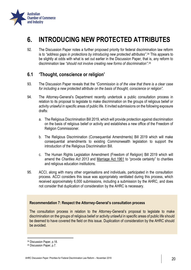

## <span id="page-22-0"></span>**6. INTRODUCING NEW PROTECTED ATTRIBUTES**

92. The Discussion Paper notes a further proposed priority for federal discrimination law reform is to *"address gaps in protections by introducing new protected attributes"*. <sup>34</sup> This appears to be slightly at odds with what is set out earlier in the Discussion Paper, that is, any reform to discrimination law *"should not involve creating new forms of discrimination"*. 35

## <span id="page-22-1"></span>**6.1 'Thought, conscience or religion'**

- 93. The Discussion Paper reveals that the *"Commission is of the view that there is a clear case for including a new protected attribute on the basis of thought, conscience or religion".*
- 94. The Attorney-General's Department recently undertook a public consultation process in relation to its proposal to legislate to make discrimination on the groups of religious belief or activity unlawful in specific areas of public life. It invited submissions on the following exposure drafts:
	- a. The Religious Discrimination Bill 2019, which will provide protection against discrimination on the basis of religious belief or activity and establishes a new office of the Freedom of Religion Commissioner.
	- b. The Religious Discrimination (Consequential Amendments) Bill 2019 which will make consequential amendments to existing Commonwealth legislation to support the introduction of the Religious Discrimination Bill.
	- c. The Human Rights Legislation Amendment (Freedom of Religion) Bill 2019 which will amend the *Charities Act 2013* and Marriage Act 1961 to "provide certainty" to charities and religious education institutions.
- 95. ACCI, along with many other organisations and individuals, participated in the consultation process. ACCI considers this issue was appropriately ventilated during this process, which received approximately 6,000 submissions, including a submission by the AHRC, and does not consider that duplication of consideration by the AHRC is necessary.

#### **Recommendation 7: Respect the Attorney-General's consultation process**

The consultation process in relation to the Attorney-General's proposal to legislate to make discrimination on the groups of religious belief or activity unlawful in specific areas of public life should be deemed to have covered the field on this issue. Duplication of consideration by the AHRC should be avoided.

<sup>34</sup> Discussion Paper, p.18.

<sup>35</sup> Discussion Paper, p.7.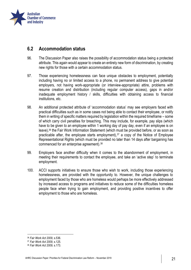

## <span id="page-23-0"></span>**6.2 Accommodation status**

- 96. The Discussion Paper also raises the possibility of accommodation status being a protected attribute. This again would appear to create an entirely new form of discrimination, by creating new rights for those with a certain accommodation status.
- 97. Those experiencing homelessness can face unique obstacles to employment, potentially including having no or limited access to a phone, no permanent address to give potential employers, not having work-appropriate (or interview-appropriate) attire, problems with resume creation and distribution (including regular computer access), gaps in and/or inadequate employment history / skills, difficulties with obtaining access to financial institutions, etc.
- 98. An additional protected attribute of 'accommodation status' may see employers faced with practical difficulties such as in some cases not being able to contact their employee, or notify them in writing of specific matters required by legislation within the required timeframe – some of which carry civil penalties for breaching. This may include, for example, pay slips (which have to be given to an employee within 1 working day of pay day, even if an employee is on leave),<sup>36</sup> the Fair Work Information Statement (which must be provided before, or as soon as practicable after, the employee starts employment),  $37$  a copy of the Notice of Employee Representational Rights (which must be provided no later than 14 days after bargaining has commenced for an enterprise agreement).<sup>38</sup>
- 99. Employers face another difficulty when it comes to the abandonment of employment, in meeting their requirements to contact the employee, and take an 'active step' to terminate employment.
- 100. ACCI supports initiatives to ensure those who wish to work, including those experiencing homelessness, are provided with the opportunity to. However, the unique challenges to employment faced by those who are homeless would perhaps be more effectively addressed by increased access to programs and initiatives to reduce some of the difficulties homeless people face when trying to gain employment, and providing positive incentives to offer employment to those who are homeless.

 $\overline{\phantom{a}}$ 

<sup>36</sup> *Fair Work Act 2009*, s.536.

<sup>37</sup> *Fair Work Act 2009*, s.125.

<sup>38</sup> *Fair Work Act 2009,* s.173.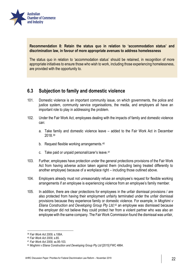

### **Recommendation 8: Retain the status quo in relation to 'accommodation status' and discrimination law, in favour of more appropriate avenues to address homelessness**

The status quo in relation to 'accommodation status' should be retained, in recognition of more appropriate initiatives to ensure those who wish to work, including those experiencing homelessness, are provided with the opportunity to.

## <span id="page-24-0"></span>**6.3 Subjection to family and domestic violence**

- 101. Domestic violence is an important community issue, on which governments, the police and justice system, community service organisations, the media, and employers all have an important role to play in addressing the problem.
- 102. Under the Fair Work Act, employees dealing with the impacts of family and domestic violence can:
	- a. Take family and domestic violence leave added to the Fair Work Act in December 2018.<sup>39</sup>
	- b. Request flexible working arrangements.<sup>40</sup>
	- c. Take paid or unpaid personal/carer's leave.<sup>41</sup>
- 103. Further, employees have protection under the general protections provisions of the Fair Work Act from having adverse action taken against them (including being treated differently to another employee) because of a workplace right – including those outlined above.
- 104. Employers already must not unreasonably refuse an employee's request for flexible working arrangements if an employee is experiencing violence from an employee's family member.
- 105. In addition, there are clear protections for employees in the unfair dismissal provisions / are also protected from having their employment unfairly terminated under the unfair dismissal provisions because they experience family or domestic violence. For example, in *Moghimi v Eliana Construction and Developing Group Pty Ltd*, <sup>42</sup> an employee was dismissed because the employer did not believe they could protect her from a violent partner who was also an employee with the same company. The Fair Work Commission found the dismissal was unfair,

<sup>39</sup> *Fair Work Act 2009,* s.106A.

<sup>40</sup> *Fair Work Act 2009*, s.65.

<sup>41</sup> *Fair Work Act 2009*, ss.95-103.

<sup>42</sup> *Moghimi v Eliana Construction and Developing Group Pty Ltd* [2015] FWC 4864.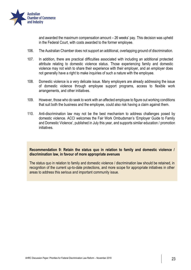

and awarded the maximum compensation amount – 26 weeks' pay. This decision was upheld in the Federal Court, with costs awarded to the former employee.

- 106. The Australian Chamber does not support an additional, overlapping ground of discrimination.
- 107. In addition, there are practical difficulties associated with including an additional protected attribute relating to domestic violence status. Those experiencing family and domestic violence may not wish to share their experience with their employer, and an employer does not generally have a right to make inquiries of such a nature with the employee.
- 108. Domestic violence is a very delicate issue. Many employers are already addressing the issue of domestic violence through employee support programs, access to flexible work arrangements, and other initiatives.
- 109. However, those who do seek to work with an affected employee to figure out working conditions that suit both the business and the employee, could also risk having a claim against them.
- 110. Anti-discrimination law may not be the best mechanism to address challenges posed by domestic violence. ACCI welcomes the Fair Work Ombudsman's 'Employer Guide to Family and Domestic Violence', published in July this year, and supports similar education / promotion initiatives.

#### **Recommendation 9: Retain the status quo in relation to family and domestic violence / discrimination law, in favour of more appropriate avenues**

The status quo in relation to family and domestic violence / discrimination law should be retained, in recognition of the current up-to-date protections, and more scope for appropriate initiatives in other areas to address this serious and important community issue.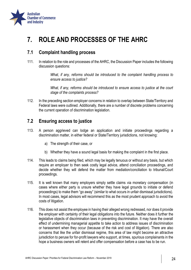

## <span id="page-26-0"></span>**7. ROLE AND PROCESSES OF THE AHRC**

## <span id="page-26-1"></span>**7.1 Complaint handling process**

111. In relation to the role and processes of the AHRC, the Discussion Paper includes the following discussion questions:

> *What, if any, reforms should be introduced to the complaint handling process to ensure access to justice?*

> *What, if any, reforms should be introduced to ensure access to justice at the court stage of the complaints process?*

112. In the preceding section employer concerns in relation to overlap between State/Territory and Federal laws were outlined. Additionally, there are a number of discrete problems concerning the current operation of discrimination legislation.

## <span id="page-26-2"></span>**7.2 Ensuring access to justice**

- 113. A person aggrieved can lodge an application and initiate proceedings regarding a discrimination matter, in either federal or State/Territory jurisdictions, not knowing:
	- a) The strength of their case, or
	- b) Whether they have a sound legal basis for making the complaint in the first place.
- 114. This leads to claims being filed, which may be legally tenuous or without any basis, but which require an employer to then seek costly legal advice, attend conciliation proceedings, and decide whether they will defend the matter from mediation/conciliation to tribunal/Court proceedings.
- 115. It is well known that many employers simply settle claims via monetary compensation (in cases where either party is unsure whether they have legal grounds to initiate or defend proceedings) to make them "go away" (similar to what occurs in unfair dismissal jurisdictions). In most cases, legal advisors will recommend this as the most prudent approach to avoid the costs of litigation.
- 116. This does not assist the employee in having their alleged wrong redressed, nor does it provide the employer with certainty of their legal obligations into the future. Neither does it further the legislative objects of discrimination laws in preventing discrimination. It may have the overall effect of undermining managerial appetite to take action to address issues of discrimination or harassment when they occur (because of the risk and cost of litigation). There are also concerns that like the unfair dismissal regime, this area of law might become an attractive jurisdiction to peruse for for-profit lawyers who support, at times, spurious complainants in the hope a business owners will relent and offer compensation before a case has to be run.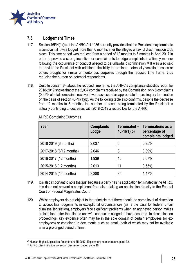

### **7.3 Lodgement Times**

- 117. Section 46PH(1)(b) of the AHRC Act 1986 currently provides that the President may terminate a complaint if it was lodged more than 6 months after the alleged unlawful discrimination took place. This time period was reduced from a period of 12 months to 6 months in April 2017 in order to provide a strong incentive for complainants to lodge complaints in a timely manner following the occurrence of conduct alleged to be unlawful discrimination.<sup>43</sup> It was also said to provide the President with additional flexibility to terminate potentially vexatious cases or others brought for similar unmeritorious purposes through the reduced time frame, thus reducing the burden on potential respondents.
- 118. Despite concerns<sup>44</sup> about the reduced timeframe, the AHRC's compliance statistics report for 2018-2019 shows that of the 2,037 complaints received by the Commission, only 5 complaints (0.25% of total complaints received) were assessed as appropriate for pre-inquiry termination on the basis of section 46PH(1)(b). As the following table also confirms, despite the decrease from 12 months to 6 months, the number of cases being terminated by the President is actually continuing to decrease, with 2018-2019 a record low for the AHRC.

| Year                    | <b>Complaints</b><br>Lodge | Terminated -<br>46PH(1)(b) | Terminations as a<br>percentage of<br>complaints lodged |
|-------------------------|----------------------------|----------------------------|---------------------------------------------------------|
| 2018-2019 (6 months)    | 2,037                      | 5                          | 0.25%                                                   |
| 2017-2018 (6/12 months) | 2,046                      | 8                          | 0.39%                                                   |
| 2016-2017 (12 months)   | 1,939                      | 13                         | 0.67%                                                   |
| 2015-2016 (12 months)   | 2,013                      | 11                         | 0.55%                                                   |
| 2014-2015 (12 months)   | 2,388                      | 35                         | 1.47%                                                   |

### AHRC Complaint Outcomes

- 119. It is also important to note that just because a party has its application terminated in the AHRC, this does not prevent a complainant from also making an application directly to the Federal Court or Federal Magistrates Court.
- 120. Whilst employers do not object to the principle that there should be some level of discretion to accept late lodgements in exceptional circumstances (as is the case for federal unfair dismissal legislation), employers face significant problems when an aggrieved person makes a claim long after the alleged unlawful conduct is alleged to have occurred. In discrimination proceedings, key evidence often may be in the sole domain of certain employees (or exemployees) or contained in documents such as email, both of which may not be available after a prolonged period of time.

<sup>43</sup> Human Rights Legislation Amendment Bill 2017, Explanatory memorandum, page 32.

<sup>44</sup> AHRC, discrimination law report discussion paper, page 16.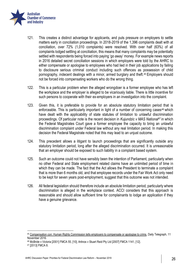

- 121. This creates a distinct advantage for applicants, and puts pressure on employers to settle matters early in conciliation proceedings. In 2018-2019 of the 1,396 complaints dealt with at conciliation, over 72% (1,010 complaints) were resolved. With over half (63%) of all complaints lodged settling at conciliation, this means that many complaints may be potentially settled with respondents being forced into paying 'go away' money. For example news reports in 2016 detailed secret conciliation sessions in which employers were told by the AHRC to either compensate or apologise to employees who had lied in their job applications by failing to disclosure serious criminal conduct including such offences as possession of child pornography, indecent dealings with a minor, armed burglary and theft.<sup>45</sup> Employers should not be forced into compensating workers who do the wrong thing.
- 122. This is a particular problem when the alleged wrongdoer is a former employee who has left the workplace and the employer is alleged to be vicariously liable. There is little incentive for such persons to cooperate with their ex-employers in an investigation into the complaint.
- 123. Given this, it is preferable to provide for an absolute statutory limitation period that is enforceable. This is particularly important in light of a number of concerning cases<sup>46</sup> which have dealt with the applicability of state statutes of limitation to unlawful discrimination proceedings. Of particular note is the recent decision in *Kujundzic v MAS National*<sup>47</sup> in which the Federal Magistrates Court gave a former employee the capacity to bring an unlawful discrimination complaint under Federal law without any real limitation period. In making this decision the Federal Magistrate noted that this may lead to an unjust outcome.
- 124. This precedent allows a litigant to launch proceedings that are significantly outside any statutory limitation period, long after the alleged discrimination occurred. It is unreasonable that an employer should be exposed to such liability in a complaint based system.
- 125. Such an outcome could not have sensibly been the intention of Parliament, particularly when no other Federal and State employment related claims have an unlimited period of time in which they can be made. The fact that the Act allows the President to terminate a complaint that is more than 6 months old, and that employee records under the Fair Work Act only need to be kept for seven years post-employment, suggest that this outcome was not intended.
- 126. All federal legislation should therefore include an absolute limitation period, particularly where discrimination is alleged in the workplace context. ACCI considers that this approach is reasonable and should allow sufficient time for complainants to lodge an application if they have a genuine grievance.

<sup>47</sup> [2013] FMCA 8.

<sup>45</sup> [Compensation con: Human Rights Commission tells employers to compensate or apologise to crims,](https://www.dailytelegraph.com.au/news/nsw/compensation-con-rights-commission-tells-employs-to-compensate-or-apologise-to-crims/news-story/232094ff2f9ca643c1a68b0003fedd7e) Daily Telegraph, 11 November 2016.

<sup>46</sup> McBride v Victoria [2001] FMCA 55, [10]; Artinos v Stuart Reid Pty Ltd [2007] FMCA 1141, [12].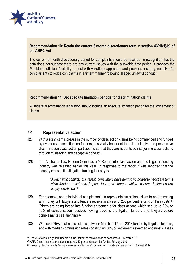

### **Recommendation 10: Retain the current 6 month discretionary term in section 46PH(1)(b) of the AHRC Act**

The current 6 month discretionary period for complaints should be retained, in recognition that the data does not suggest there are any current issues with the allowable time period, it provides the President sufficient flexibility to deal with vexatious applicants and provides a strong incentive for complainants to lodge complaints in a timely manner following alleged unlawful conduct.

#### **Recommendation 11: Set absolute limitation periods for discrimination claims**

All federal discrimination legislation should include an absolute limitation period for the lodgement of claims.

### **7.4 Representative action**

- 127. With a significant increase in the number of class action claims being commenced and funded by overseas based litigation funders, it is vitally important that clarity is given to prospective discrimination class action participants so that they are not enticed into joining class actions through misleading and deceptive conduct.
- 128. The Australian Law Reform Commission's Report into class action and the litigation-funding industry was released earlier this year. In response to the report it was reported that the industry class action/litigation funding industry is:

"*Awash with conflicts of interest, consumers have next to no power to negotiate terms while funders unilaterally impose fees and charges which, in some instances are simply exorbitant*" 48

- 129. For example, some individual complainants in representative actions claim to not be seeing any money until lawyers and funders receive in excess of 250 per cent returns on their costs.<sup>49</sup> Others are being forced into funding agreements for class actions which see up to 20% to 40% of compensation received flowing back to the ligation funders and lawyers before complainants see anything.<sup>50</sup>
- 130. With over 75% of all class actions between March 2017 and 2018 funded by litigation funders, and with median commission rates constituting 30% of settlements awarded and most classes

 $\overline{\phantom{a}}$ 

<sup>48</sup> The Australian, Litigation funders hit the jackpot at the expense of consumers, 7 March 2019.

<sup>49</sup> AFR, Class action over casuals require 250 per cent return for funder, 30 May 2019.

<sup>50</sup> Lawyerly, Judge rejects 'arguably excessive' funders' commission in KPMG class action, 1 August 2019.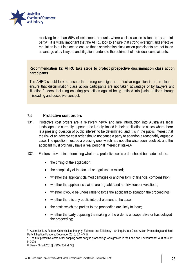

receiving less than 50% of settlement amounts where a class action is funded by a third party<sup>51</sup>, it is vitally important that the AHRC look to ensure that strong oversight and effective regulation is put in place to ensure that discrimination class action participants are not taken advantage of by lawyers and litigation funders to the detriment of individual complainants.

### **Recommendation 12: AHRC take steps to protect prospective discrimination class action participants**

The AHRC should look to ensure that strong oversight and effective regulation is put in place to ensure that discrimination class action participants are not taken advantage of by lawyers and litigation funders, including ensuring protections against being enticed into joining actions through misleading and deceptive conduct.

### **7.5 Protective cost orders**

- 131. Protective cost orders are a relatively new<sup>52</sup> and rare introduction into Australia's legal landscape and currently appear to be largely limited in their application to cases where there is a pressing question of public interest to be determined, and it is in the public interest that the risk of an adverse cost order should not cause a party to abandon a reasonably arguable case. The question must be a pressing one, which has not otherwise been resolved, and the applicant must ordinarily have a real personal interest at stake.<sup>53</sup>
- 132. Factors relevant in determining whether a protective costs order should be made include:
	- $\bullet$  the timing of the application;
	- the complexity of the factual or legal issues raised;
	- whether the applicant claimed damages or another form of financial compensation;
	- whether the applicant's claims are arguable and not frivolous or vexatious;
	- whether it would be undesirable to force the applicant to abandon the proceedings;
	- whether there is any public interest element to the case;
	- the costs which the parties to the proceeding are likely to incur;
	- whether the party opposing the making of the order is uncooperative or has delayed the proceeding;

 $\overline{\phantom{a}}$ 

<sup>51</sup> Australian Law Reform Commission, Integrity, Fairness and Efficiency – An Inquiry into Class Action Proceedings and third-Party Litigation Funders, December 2018, 3.1 – 3.57.

<sup>52</sup> The first protective costs order capping costs early in proceedings was granted in the Land and Environment Court of NSW in 2009.

<sup>53</sup> Bare v Small [2013] VSCA 204 at [35]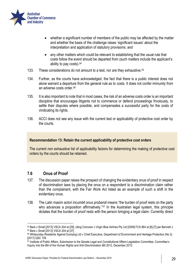

- whether a significant number of members of the public may be affected by the matter and whether the basis of the challenge raises 'significant issues' about the interpretation and application of statutory provisions; and
- any other matters which could be relevant to establishing that the usual rule that costs follow the event should be departed from (such matters include the applicant's ability to pay costs). 54
- 133. These considerations do not amount to a test, nor are they exhaustive.<sup>55</sup>
- 134. Further, as the courts have acknowledged, the fact that there is a public interest does not alone warrant a departure from the general rule as to costs. It does not confer immunity from an adverse costs order.<sup>56</sup>
- 135. It is also important to note that in most cases, the risk of an adverse costs order is an important discipline that encourages litigants not to commence or defend proceedings frivolously, to settle their disputes where possible, and compensates a successful party for the costs of vindicating its rights.
- 136. ACCI does not see any issue with the current test or applicability of protective cost order by the courts.

#### **Recommendation 13: Retain the current applicability of protective cost orders**

The current non exhaustive list of applicability factors for determining the making of protective cost orders by the courts should be retained.

### **7.6 Onus of Proof**

- 137. The discussion paper raises the prospect of changing the evidentiary onus of proof in respect of discrimination laws by placing the onus on a respondent to a discrimination claim rather than the complainant, with the Fair Work Act listed as an example of such a shift in the evidentiary onus.
- 138. The Latin maxim *actori incumbit onus probandi* means "the burden of proof rests on the party who advances a proposition affirmatively."<sup>57</sup> In the Australian legal system, this principle dictates that the burden of proof rests with the person bringing a legal claim. Currently direct

<sup>54</sup> Bare v Small [2013] VSCA 204 at [29], citing Corcoran v Virgin Blue Airlines Pty Ltd [2008] FCA 864 at [6]-[7] per Bennett J. <sup>55</sup> Bare v Small [2013] VSCA 204 at [37]

<sup>56</sup> Whitsunday Residents Against Dumping Ltd v Chief Executive, Department of Environment and Heritage Protection (No 2) [2017] QSC 159

<sup>57</sup> Institute of Public Affairs, Submission to the Senate Legal and Constitutional Affairs Legislation Committee, Committee's Inquiry into the Bill of the Human Rights and Anti-Discrimination Bill 2012, December 2012.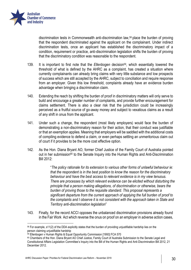

1

discrimination tests in Commonwealth anti-discrimination law,<sup>58</sup> place the burden of proving that the respondent discriminated against the applicant on the complainant. Under indirect discrimination tests, once an applicant has established the discriminatory impact of a condition, requirement or practice, anti-discrimination legislation shifts the burden of proving that the discriminatory condition was reasonable to the respondent.

- 139. It is important to first note that the *Ellenbogen* decision<sup>59</sup>, which essentially lowered the threshold of what is defined by the AHRC as a complaint, has created a situation where currently complainants can already bring claims with very little substance and low prospects of success which are still accepted by the AHRC, subject to conciliation and require response from an employer. Given this low threshold, complaints already have an evidence burden advantage when bringing a discrimination claim.
- 140. Extending the reach by shifting the burden of proof in discriminatory matters will only serve to build and encourage a greater number of complaints, and provide further encouragement for claims settlement. There is also a clear risk that the jurisdiction could be increasingly perceived as a fruitful source of go-away money and subject to vexatious claims as a result of any shift in onus from the applicant.
- 141. Under such a change, the respondent (most likely employers) would face the burden of demonstrating a non-discriminatory reason for their action, that their conduct was justifiable or that an exemption applies. Meaning that employers will be saddled with the additional costs of compiling evidence to defend a claim, or even perhaps settling an unmeritorious claim out of court if it provides to be the more cost effective option.
- 142. As the Hon. Diana Bryant AO, former Chief Justice of the Family Court of Australia pointed out in her submission<sup>60</sup> to the Senate Inquiry into the Human Rights and Anti-Discrimination Bill 2012:

"*The policy rationale for its extension to various other forms of unlawful behaviour ie: that the respondent is in the best position to know the reason for the discriminatory behaviour and have the best access to relevant evidence is in my view tenuous. There are processes by which relevant evidence can be elicited without disturbing the principle that a person making allegations, of discrimination or otherwise, bears the burden of proving those to the requisite standard. This proposal represents a significant departure from the current approach of applying the full burden of proof to the complaints and I observe it is not consistent with the approach taken in State and Territory anti-discrimination legislation*"

143. Finally, for the record ACCI opposes the unbalanced discrimination provisions already found in the Fair Work Act which reverse the onus on proof on an employer in adverse action cases,

<sup>58</sup> For example, s11(2) of the DDA explicitly states that the burden of providing unjustifiable hardship lies on the person claiming unjustifiable hardship

<sup>59</sup> Ellenbogen v Human Rights & Equal Opportunity Commission [1993] FCA 570

<sup>60</sup> Chambers of the Hon. Diana Bryant AO Chief Justice, Family Court of Australia Submission to the Senate Legal and Constitutional Affairs Legislation Committee's Inquiry into the Bill of the Human Rights and Anti-Discrimination Bill 2012, 21 December 2012.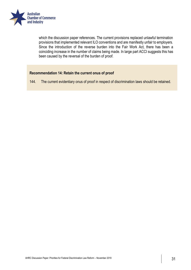

which the discussion paper references. The current provisions replaced unlawful termination provisions that implemented relevant ILO conventions and are manifestly unfair to employers. Since the introduction of the reverse burden into the Fair Work Act, there has been a coinciding increase in the number of claims being made. In large part ACCI suggests this has been caused by the reversal of the burden of proof.

### **Recommendation 14: Retain the current onus of proof**

144. The current evidentiary onus of proof in respect of discrimination laws should be retained.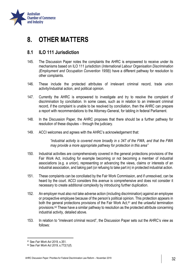

## <span id="page-34-0"></span>**8. OTHER MATTERS**

## <span id="page-34-1"></span>**8.1 ILO 111 Jurisdiction**

- 145. The Discussion Paper notes the complaints the AHRC is empowered to receive under its mechanisms based on ILO 111 jurisdiction (*International Labour Organisation Discrimination (Employment and Occupation Convention 1958)*) have a different pathway for resolution to other complaints.
- 146. These include the protected attributes of irrelevant criminal record, trade union activity/industrial action, and political opinion.
- 147. Currently the AHRC is empowered to investigate and try to resolve the complaint of discrimination by conciliation. In some cases, such as in relation to an irrelevant criminal record, if the complaint is unable to be resolved by conciliation, then the AHRC can prepare a report with recommendations to the Attorney-General, for tabling in federal Parliament.
- 148. In the Discussion Paper, the AHRC proposes that there should be a further pathway for resolution of these disputes – through the judiciary.
- 149. ACCI welcomes and agrees with the AHRC's acknowledgement that:

*"industrial activity is covered more broadly in s 347 of the FWA, and that the FWA may provide a more appropriate pathway for protection in this area"*

- 150. Industrial activities are comprehensively covered in the general protections provisions of the Fair Work Act, including for example becoming or not becoming a member of industrial associations (e.g. a union), representing or advancing the views, claims or interests of an industrial association, and taking part (or refusing to take part in) in protected industrial action.
- 151. These complaints can be conciliated by the Fair Work Commission, and if unresolved, can be heard by the court. ACCI considers this avenue is comprehensive and does not consider it necessary to create additional complexity by introducing further duplication.
- 152. An employer must also not take adverse action (including discrimination) against an employee or prospective employee because of the person's political opinion. This protection appears in both the general protections provisions of the Fair Work Act, $61$  and the unlawful termination provisions.<sup>62</sup> These have a similar pathway to resolution as the protected attribute concerning industrial activity, detailed above.
- 153. In relation to "irrelevant criminal record", the Discussion Paper sets out the AHRC's view as follows:

<sup>61</sup> See *Fair Work Act 2019*, s.351.

<sup>62</sup> See *Fair Work Act 2019*, s.772(1)(f).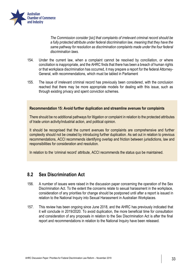

*The Commission consider [sic] that complaints of irrelevant criminal record should be a fully protected attribute under federal discrimination law, meaning that they have the same pathway for resolution as discrimination complaints made under the four federal discrimination laws.* 

- 154. Under the current law, when a complaint cannot be resolved by conciliation, or where conciliation is inappropriate, and the AHRC finds that there has been a breach of human rights or that workplace discrimination has occurred, it may prepare a report for the federal Attorney-General, with recommendations, which must be tabled in Parliament
- 155. The issue of irrelevant criminal record has previously been considered, with the conclusion reached that there may be more appropriate models for dealing with this issue, such as through existing privacy and spent conviction schemes.

#### **Recommendation 15: Avoid further duplication and streamline avenues for complaints**

There should be no additional pathways for litigation or complaint in relation to the protected attributes of trade union activity/industrial action, and political opinion.

It should be recognised that the current avenues for complaints are comprehensive and further complexity should not be created by introducing further duplication. As set out in relation to previous recommendations, ACCI recommends identifying overlap and friction between jurisdictions, law and responsibilities for consideration and resolution.

In relation to the 'criminal record' attribute, ACCI recommends the status quo be maintained.

### <span id="page-35-0"></span>**8.2 Sex Discrimination Act**

- 156. A number of issues were raised in the discussion paper concerning the operation of the Sex Discrimination Act. To the extent the concerns relate to sexual harassment in the workplace, consideration of any priorities for change should be postponed until after a report is issued in relation to the National Inquiry into Sexual Harassment in Australian Workplaces.
- 157. This review has been ongoing since June 2018, and the AHRC has previously indicated that it will conclude in 2019/2020. To avoid duplication, the more beneficial time for consultation and consideration of any proposals in relation to the Sex Discrimination Act is after the final report and recommendations in relation to the National Inquiry have been released.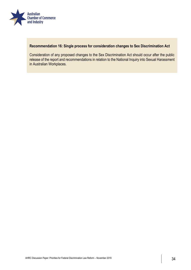

### **Recommendation 16: Single process for consideration changes to Sex Discrimination Act**

Consideration of any proposed changes to the Sex Discrimination Act should occur after the public release of the report and recommendations in relation to the National Inquiry into Sexual Harassment in Australian Workplaces.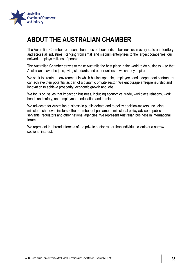

## <span id="page-37-0"></span>**ABOUT THE AUSTRALIAN CHAMBER**

The Australian Chamber represents hundreds of thousands of businesses in every state and territory and across all industries. Ranging from small and medium enterprises to the largest companies, our network employs millions of people.

The Australian Chamber strives to make Australia the best place in the world to do business – so that Australians have the jobs, living standards and opportunities to which they aspire.

We seek to create an environment in which businesspeople, employees and independent contractors can achieve their potential as part of a dynamic private sector. We encourage entrepreneurship and innovation to achieve prosperity, economic growth and jobs.

We focus on issues that impact on business, including economics, trade, workplace relations, work health and safety, and employment, education and training.

We advocate for Australian business in public debate and to policy decision-makers, including ministers, shadow ministers, other members of parliament, ministerial policy advisors, public servants, regulators and other national agencies. We represent Australian business in international forums.

We represent the broad interests of the private sector rather than individual clients or a narrow sectional interest.